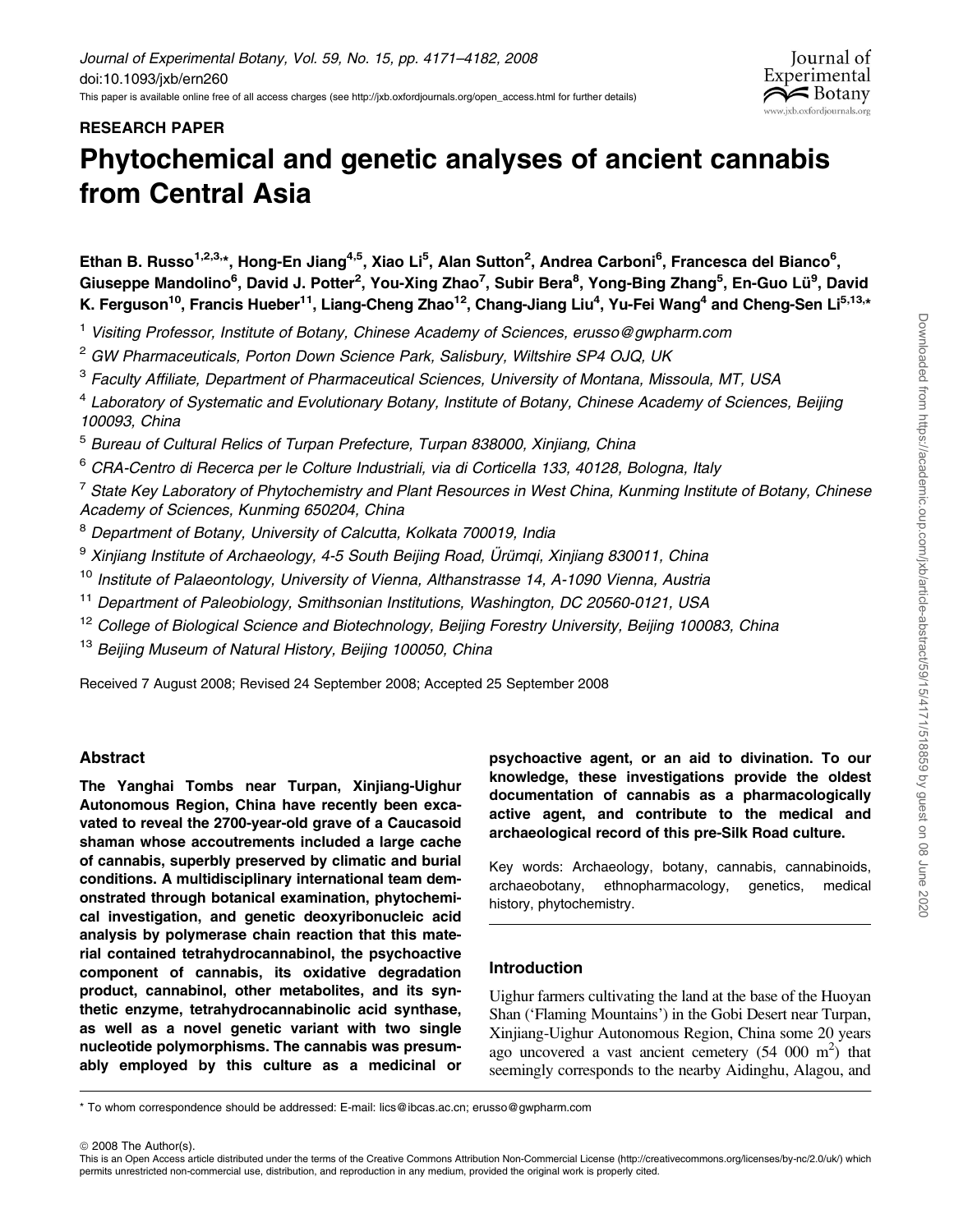

## RESEARCH PAPER

# Phytochemical and genetic analyses of ancient cannabis from Central Asia

Ethan B. Russo<sup>1,2,3,</sup>\*, Hong-En Jiang<sup>4,5</sup>, Xiao Li<sup>5</sup>, Alan Sutton<sup>2</sup>, Andrea Carboni<sup>6</sup>, Francesca del Bianco<sup>6</sup>, Giuseppe Mandolino<sup>6</sup>, David J. Potter<sup>2</sup>, You-Xing Zhao<sup>7</sup>, Subir Bera<sup>8</sup>, Yong-Bing Zhang<sup>5</sup>, En-Guo Lü<sup>9</sup>, David K. Ferguson<sup>10</sup>, Francis Hueber<sup>11</sup>, Liang-Cheng Zhao<sup>12</sup>, Chang-Jiang Liu<sup>4</sup>, Yu-Fei Wang<sup>4</sup> and Cheng-Sen Li<sup>5,13,</sup>\*

<sup>1</sup> Visiting Professor, Institute of Botany, Chinese Academy of Sciences, erusso@gwpharm.com

<sup>2</sup> GW Pharmaceuticals, Porton Down Science Park, Salisbury, Wiltshire SP4 OJQ, UK

 $3$  Faculty Affiliate, Department of Pharmaceutical Sciences, University of Montana, Missoula, MT, USA

<sup>4</sup> Laboratory of Systematic and Evolutionary Botany, Institute of Botany, Chinese Academy of Sciences, Beijing 100093, China

<sup>5</sup> Bureau of Cultural Relics of Turpan Prefecture, Turpan 838000, Xinjiang, China

<sup>6</sup> CRA-Centro di Recerca per le Colture Industriali, via di Corticella 133, 40128, Bologna, Italy

 $^7$  State Key Laboratory of Phytochemistry and Plant Resources in West China, Kunming Institute of Botany, Chinese Academy of Sciences, Kunming 650204, China

<sup>8</sup> Department of Botany, University of Calcutta, Kolkata 700019, India

 $9$  Xinjiang Institute of Archaeology, 4-5 South Beijing Road, Ürümgi, Xinjiang 830011, China

- <sup>10</sup> Institute of Palaeontology, University of Vienna, Althanstrasse 14, A-1090 Vienna, Austria
- <sup>11</sup> Department of Paleobiology, Smithsonian Institutions, Washington, DC 20560-0121, USA
- <sup>12</sup> College of Biological Science and Biotechnology, Beijing Forestry University, Beijing 100083, China

<sup>13</sup> Beijing Museum of Natural History, Beijing 100050, China

Received 7 August 2008; Revised 24 September 2008; Accepted 25 September 2008

## Abstract

The Yanghai Tombs near Turpan, Xinjiang-Uighur Autonomous Region, China have recently been excavated to reveal the 2700-year-old grave of a Caucasoid shaman whose accoutrements included a large cache of cannabis, superbly preserved by climatic and burial conditions. A multidisciplinary international team demonstrated through botanical examination, phytochemical investigation, and genetic deoxyribonucleic acid analysis by polymerase chain reaction that this material contained tetrahydrocannabinol, the psychoactive component of cannabis, its oxidative degradation product, cannabinol, other metabolites, and its synthetic enzyme, tetrahydrocannabinolic acid synthase, as well as a novel genetic variant with two single nucleotide polymorphisms. The cannabis was presumably employed by this culture as a medicinal or psychoactive agent, or an aid to divination. To our knowledge, these investigations provide the oldest documentation of cannabis as a pharmacologically active agent, and contribute to the medical and archaeological record of this pre-Silk Road culture.

Key words: Archaeology, botany, cannabis, cannabinoids, archaeobotany, ethnopharmacology, genetics, medical history, phytochemistry.

## Introduction

Uighur farmers cultivating the land at the base of the Huoyan Shan ('Flaming Mountains') in the Gobi Desert near Turpan, Xinjiang-Uighur Autonomous Region, China some 20 years ago uncovered a vast ancient cemetery  $(54\ 000\ \text{m}^2)$  that seemingly corresponds to the nearby Aidinghu, Alagou, and

\* To whom correspondence should be addressed: E-mail: lics@ibcas.ac.cn; erusso@gwpharm.com

© 2008 The Author(s).

This is an Open Access article distributed under the terms of the Creative Commons Attribution Non-Commercial License [\(http://creativecommons.org/licenses/by-nc/2.0/uk/\)](http://creativecommons.org/licenses/by-nc/2.0/uk/) which permits unrestricted non-commercial use, distribution, and reproduction in any medium, provided the original work is properly cited.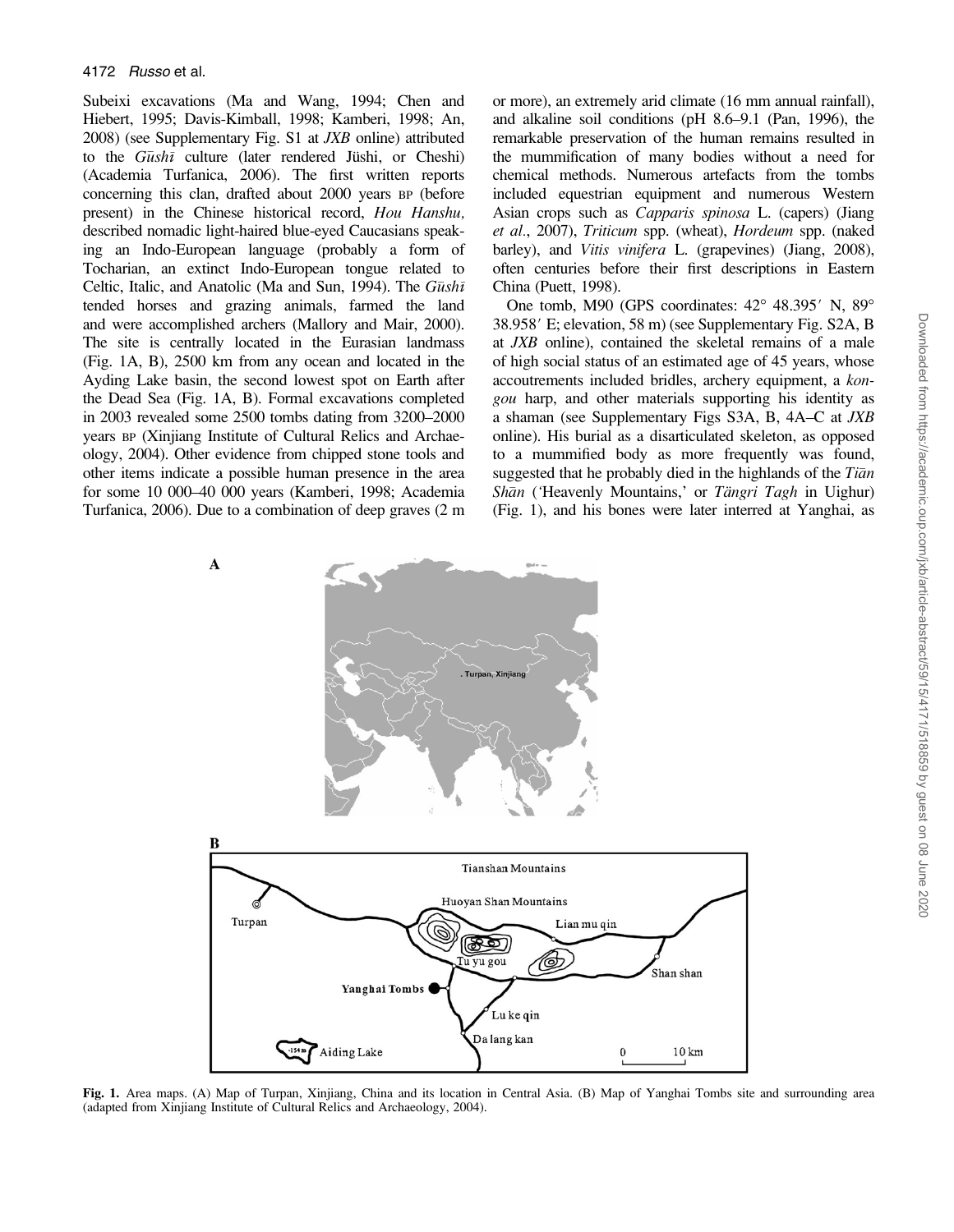Subeixi excavations (Ma and Wang, 1994; Chen and Hiebert, 1995; Davis-Kimball, 1998; Kamberi, 1998; An, 2008) (see Supplementary Fig. S1 at JXB online) attributed to the  $G\bar{u}sh\bar{\iota}$  culture (later rendered Jüshi, or Cheshi) (Academia Turfanica, 2006). The first written reports concerning this clan, drafted about 2000 years BP (before present) in the Chinese historical record, Hou Hanshu, described nomadic light-haired blue-eyed Caucasians speaking an Indo-European language (probably a form of Tocharian, an extinct Indo-European tongue related to Celtic, Italic, and Anatolic (Ma and Sun, 1994). The  $Gi<sub>sh</sub>$ tended horses and grazing animals, farmed the land and were accomplished archers (Mallory and Mair, 2000). The site is centrally located in the Eurasian landmass (Fig. 1A, B), 2500 km from any ocean and located in the Ayding Lake basin, the second lowest spot on Earth after the Dead Sea (Fig. 1A, B). Formal excavations completed in 2003 revealed some 2500 tombs dating from 3200–2000 years BP (Xinjiang Institute of Cultural Relics and Archaeology, 2004). Other evidence from chipped stone tools and other items indicate a possible human presence in the area for some 10 000–40 000 years (Kamberi, 1998; Academia Turfanica, 2006). Due to a combination of deep graves (2 m

or more), an extremely arid climate (16 mm annual rainfall), and alkaline soil conditions (pH 8.6–9.1 (Pan, 1996), the remarkable preservation of the human remains resulted in the mummification of many bodies without a need for chemical methods. Numerous artefacts from the tombs included equestrian equipment and numerous Western Asian crops such as Capparis spinosa L. (capers) (Jiang et al., 2007), Triticum spp. (wheat), Hordeum spp. (naked barley), and Vitis vinifera L. (grapevines) (Jiang, 2008), often centuries before their first descriptions in Eastern China (Puett, 1998).

One tomb, M90 (GPS coordinates: 42° 48.395' N, 89° 38.958# E; elevation, 58 m) (see Supplementary Fig. S2A, B at JXB online), contained the skeletal remains of a male of high social status of an estimated age of 45 years, whose accoutrements included bridles, archery equipment, a kongou harp, and other materials supporting his identity as a shaman (see Supplementary Figs S3A, B, 4A–C at JXB online). His burial as a disarticulated skeleton, as opposed to a mummified body as more frequently was found, suggested that he probably died in the highlands of the  $Ti\bar{a}n$ Shān ('Heavenly Mountains,' or Tängri Tagh in Uighur) (Fig. 1), and his bones were later interred at Yanghai, as



Fig. 1. Area maps. (A) Map of Turpan, Xinjiang, China and its location in Central Asia. (B) Map of Yanghai Tombs site and surrounding area (adapted from Xinjiang Institute of Cultural Relics and Archaeology, 2004).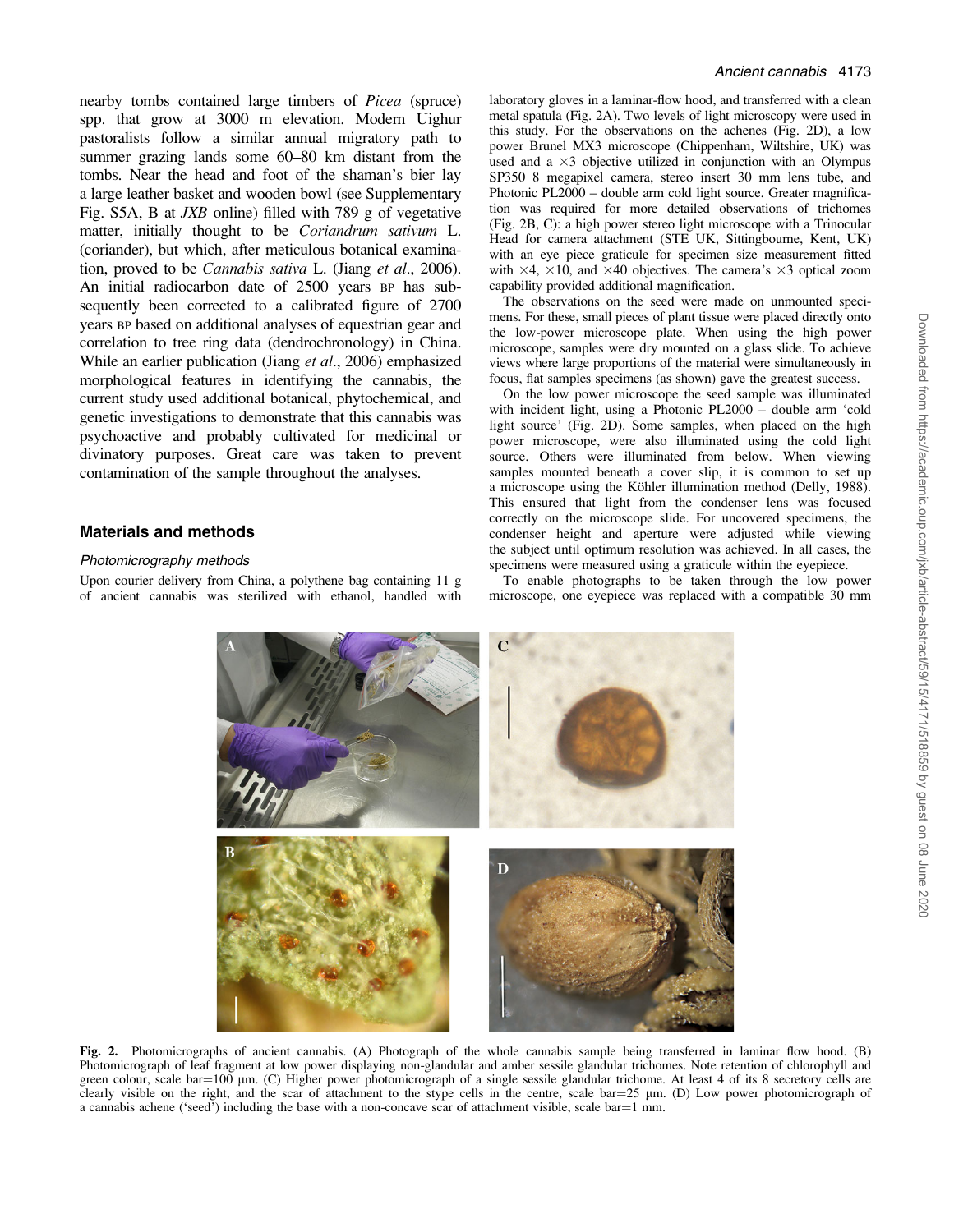nearby tombs contained large timbers of Picea (spruce) spp. that grow at 3000 m elevation. Modern Uighur pastoralists follow a similar annual migratory path to summer grazing lands some 60–80 km distant from the tombs. Near the head and foot of the shaman's bier lay a large leather basket and wooden bowl (see Supplementary Fig. S5A, B at JXB online) filled with 789 g of vegetative matter, initially thought to be *Coriandrum sativum* L. (coriander), but which, after meticulous botanical examination, proved to be Cannabis sativa L. (Jiang et al., 2006). An initial radiocarbon date of 2500 years BP has subsequently been corrected to a calibrated figure of 2700 years BP based on additional analyses of equestrian gear and correlation to tree ring data (dendrochronology) in China. While an earlier publication (Jiang et al., 2006) emphasized morphological features in identifying the cannabis, the current study used additional botanical, phytochemical, and genetic investigations to demonstrate that this cannabis was psychoactive and probably cultivated for medicinal or divinatory purposes. Great care was taken to prevent contamination of the sample throughout the analyses.

## Materials and methods

#### Photomicrography methods

Upon courier delivery from China, a polythene bag containing 11 g of ancient cannabis was sterilized with ethanol, handled with laboratory gloves in a laminar-flow hood, and transferred with a clean metal spatula (Fig. 2A). Two levels of light microscopy were used in this study. For the observations on the achenes (Fig. 2D), a low power Brunel MX3 microscope (Chippenham, Wiltshire, UK) was used and a  $\times$ 3 objective utilized in conjunction with an Olympus SP350 8 megapixel camera, stereo insert 30 mm lens tube, and Photonic PL2000 – double arm cold light source. Greater magnification was required for more detailed observations of trichomes (Fig. 2B, C): a high power stereo light microscope with a Trinocular Head for camera attachment (STE UK, Sittingbourne, Kent, UK) with an eye piece graticule for specimen size measurement fitted with  $\times$ 4,  $\times$ 10, and  $\times$ 40 objectives. The camera's  $\times$ 3 optical zoom capability provided additional magnification.

The observations on the seed were made on unmounted specimens. For these, small pieces of plant tissue were placed directly onto the low-power microscope plate. When using the high power microscope, samples were dry mounted on a glass slide. To achieve views where large proportions of the material were simultaneously in focus, flat samples specimens (as shown) gave the greatest success.

On the low power microscope the seed sample was illuminated with incident light, using a Photonic PL2000 – double arm 'cold light source' (Fig. 2D). Some samples, when placed on the high power microscope, were also illuminated using the cold light source. Others were illuminated from below. When viewing samples mounted beneath a cover slip, it is common to set up a microscope using the Köhler illumination method (Delly, 1988). This ensured that light from the condenser lens was focused correctly on the microscope slide. For uncovered specimens, the condenser height and aperture were adjusted while viewing the subject until optimum resolution was achieved. In all cases, the specimens were measured using a graticule within the eyepiece.

To enable photographs to be taken through the low power microscope, one eyepiece was replaced with a compatible 30 mm

Fig. 2. Photomicrographs of ancient cannabis. (A) Photograph of the whole cannabis sample being transferred in laminar flow hood. (B) Photomicrograph of leaf fragment at low power displaying non-glandular and amber sessile glandular trichomes. Note retention of chlorophyll and green colour, scale bar=100 µm. (C) Higher power photomicrograph of a single sessile glandular trichome. At least 4 of its 8 secretory cells are clearly visible on the right, and the scar of attachment to the stype cells in the centre, scale bar=25 µm. (D) Low power photomicrograph of a cannabis achene ('seed') including the base with a non-concave scar of attachment visible, scale bar  $=1$  mm.

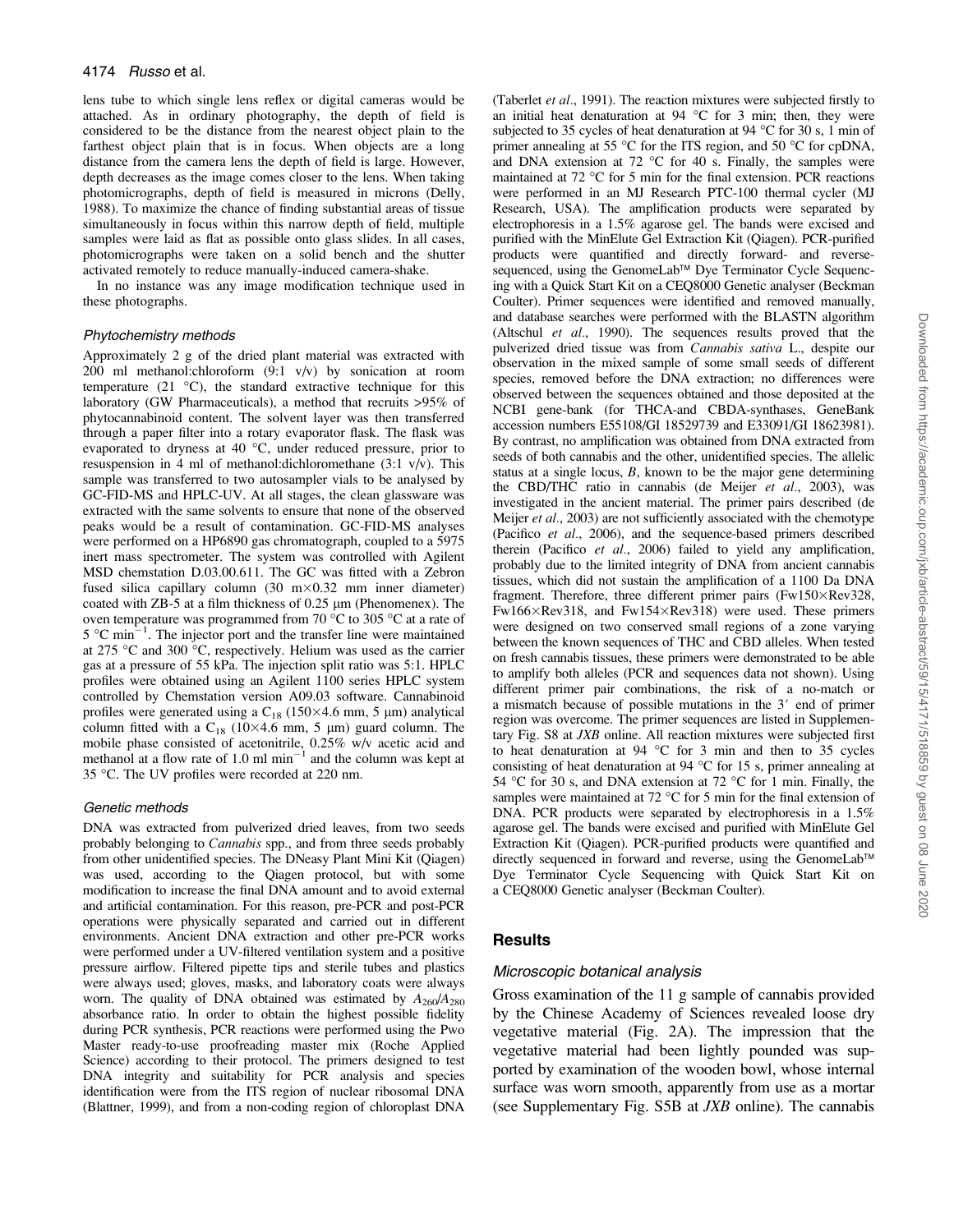lens tube to which single lens reflex or digital cameras would be attached. As in ordinary photography, the depth of field is considered to be the distance from the nearest object plain to the farthest object plain that is in focus. When objects are a long distance from the camera lens the depth of field is large. However, depth decreases as the image comes closer to the lens. When taking photomicrographs, depth of field is measured in microns (Delly, 1988). To maximize the chance of finding substantial areas of tissue simultaneously in focus within this narrow depth of field, multiple samples were laid as flat as possible onto glass slides. In all cases, photomicrographs were taken on a solid bench and the shutter activated remotely to reduce manually-induced camera-shake.

In no instance was any image modification technique used in these photographs.

#### Phytochemistry methods

Approximately 2 g of the dried plant material was extracted with 200 ml methanol:chloroform (9:1 v/v) by sonication at room temperature (21 $\degree$ C), the standard extractive technique for this laboratory (GW Pharmaceuticals), a method that recruits >95% of phytocannabinoid content. The solvent layer was then transferred through a paper filter into a rotary evaporator flask. The flask was evaporated to dryness at 40  $^{\circ}$ C, under reduced pressure, prior to resuspension in 4 ml of methanol:dichloromethane (3:1 v/v). This sample was transferred to two autosampler vials to be analysed by GC-FID-MS and HPLC-UV. At all stages, the clean glassware was extracted with the same solvents to ensure that none of the observed peaks would be a result of contamination. GC-FID-MS analyses were performed on a HP6890 gas chromatograph, coupled to a 5975 inert mass spectrometer. The system was controlled with Agilent MSD chemstation D.03.00.611. The GC was fitted with a Zebron fused silica capillary column  $(30 \text{ m} \times 0.32 \text{ mm})$  inner diameter) coated with  $ZB-5$  at a film thickness of 0.25  $\mu$ m (Phenomenex). The oven temperature was programmed from 70  $\rm{°C}$  to 305  $\rm{°C}$  at a rate of  $5^{\circ}$ C min<sup>-1</sup>. The injector port and the transfer line were maintained at 275 °C and 300 °C, respectively. Helium was used as the carrier gas at a pressure of 55 kPa. The injection split ratio was 5:1. HPLC profiles were obtained using an Agilent 1100 series HPLC system controlled by Chemstation version A09.03 software. Cannabinoid profiles were generated using a  $C_{18}$  (150×4.6 mm, 5 µm) analytical column fitted with a  $C_{18}$  (10×4.6 mm, 5 µm) guard column. The mobile phase consisted of acetonitrile, 0.25% w/v acetic acid and methanol at a flow rate of 1.0 ml  $min^{-1}$  and the column was kept at 35 °C. The UV profiles were recorded at 220 nm.

#### Genetic methods

DNA was extracted from pulverized dried leaves, from two seeds probably belonging to Cannabis spp., and from three seeds probably from other unidentified species. The DNeasy Plant Mini Kit (Qiagen) was used, according to the Qiagen protocol, but with some modification to increase the final DNA amount and to avoid external and artificial contamination. For this reason, pre-PCR and post-PCR operations were physically separated and carried out in different environments. Ancient DNA extraction and other pre-PCR works were performed under a UV-filtered ventilation system and a positive pressure airflow. Filtered pipette tips and sterile tubes and plastics were always used; gloves, masks, and laboratory coats were always worn. The quality of DNA obtained was estimated by  $A_{260}/A_{280}$ absorbance ratio. In order to obtain the highest possible fidelity during PCR synthesis, PCR reactions were performed using the Pwo Master ready-to-use proofreading master mix (Roche Applied Science) according to their protocol. The primers designed to test DNA integrity and suitability for PCR analysis and species identification were from the ITS region of nuclear ribosomal DNA (Blattner, 1999), and from a non-coding region of chloroplast DNA

(Taberlet et al., 1991). The reaction mixtures were subjected firstly to an initial heat denaturation at 94  $^{\circ}$ C for 3 min; then, they were subjected to 35 cycles of heat denaturation at 94  $\degree$ C for 30 s, 1 min of primer annealing at 55  $\degree$ C for the ITS region, and 50  $\degree$ C for cpDNA, and DNA extension at  $72 °C$  for 40 s. Finally, the samples were maintained at 72  $\degree$ C for 5 min for the final extension. PCR reactions were performed in an MJ Research PTC-100 thermal cycler (MJ Research, USA). The amplification products were separated by electrophoresis in a 1.5% agarose gel. The bands were excised and purified with the MinElute Gel Extraction Kit (Qiagen). PCR-purified products were quantified and directly forward- and reversesequenced, using the GenomeLab™ Dye Terminator Cycle Sequencing with a Quick Start Kit on a CEQ8000 Genetic analyser (Beckman Coulter). Primer sequences were identified and removed manually, and database searches were performed with the BLASTN algorithm (Altschul et al., 1990). The sequences results proved that the pulverized dried tissue was from Cannabis sativa L., despite our observation in the mixed sample of some small seeds of different species, removed before the DNA extraction; no differences were observed between the sequences obtained and those deposited at the NCBI gene-bank (for THCA-and CBDA-synthases, GeneBank accession numbers E55108/GI 18529739 and E33091/GI 18623981). By contrast, no amplification was obtained from DNA extracted from seeds of both cannabis and the other, unidentified species. The allelic status at a single locus,  $B$ , known to be the major gene determining the CBD/THC ratio in cannabis (de Meijer et al., 2003), was investigated in the ancient material. The primer pairs described (de Meijer et al., 2003) are not sufficiently associated with the chemotype (Pacifico et al., 2006), and the sequence-based primers described therein (Pacifico et al., 2006) failed to yield any amplification, probably due to the limited integrity of DNA from ancient cannabis tissues, which did not sustain the amplification of a 1100 Da DNA fragment. Therefore, three different primer pairs ( $Fw150\times\text{Rev328}$ , Fw166×Rev318, and Fw154×Rev318) were used. These primers were designed on two conserved small regions of a zone varying between the known sequences of THC and CBD alleles. When tested on fresh cannabis tissues, these primers were demonstrated to be able to amplify both alleles (PCR and sequences data not shown). Using different primer pair combinations, the risk of a no-match or a mismatch because of possible mutations in the  $3'$  end of primer region was overcome. The primer sequences are listed in Supplementary Fig. S8 at JXB online. All reaction mixtures were subjected first to heat denaturation at 94  $^{\circ}$ C for 3 min and then to 35 cycles consisting of heat denaturation at 94  $^{\circ}$ C for 15 s, primer annealing at 54 °C for 30 s, and DNA extension at 72 °C for 1 min. Finally, the samples were maintained at 72  $\mathrm{^{\circ}C}$  for 5 min for the final extension of DNA. PCR products were separated by electrophoresis in a 1.5% agarose gel. The bands were excised and purified with MinElute Gel Extraction Kit (Qiagen). PCR-purified products were quantified and directly sequenced in forward and reverse, using the GenomeLab™ Dye Terminator Cycle Sequencing with Quick Start Kit on a CEQ8000 Genetic analyser (Beckman Coulter).

#### **Results**

#### Microscopic botanical analysis

Gross examination of the 11 g sample of cannabis provided by the Chinese Academy of Sciences revealed loose dry vegetative material (Fig. 2A). The impression that the vegetative material had been lightly pounded was supported by examination of the wooden bowl, whose internal surface was worn smooth, apparently from use as a mortar (see Supplementary Fig. S5B at JXB online). The cannabis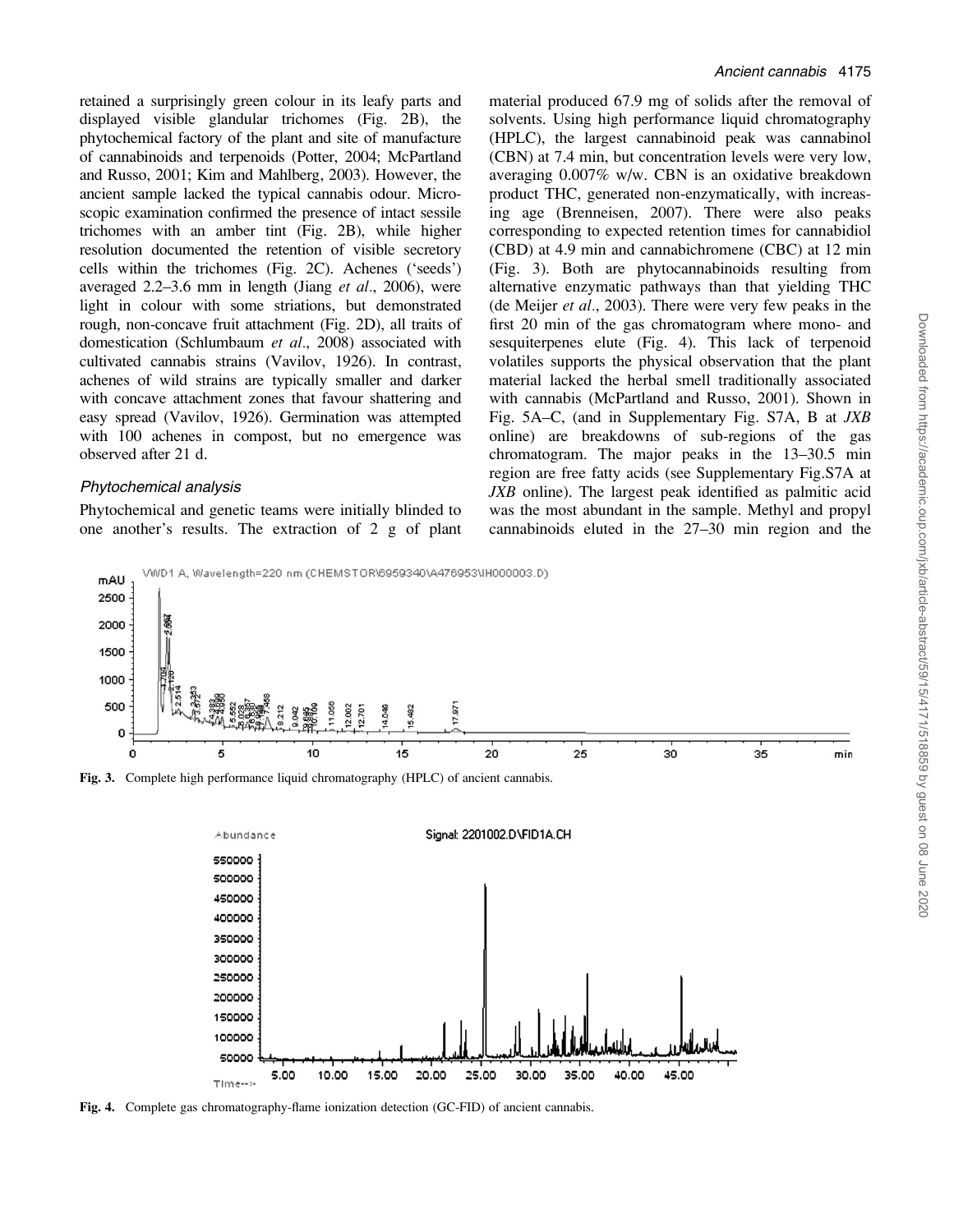retained a surprisingly green colour in its leafy parts and displayed visible glandular trichomes (Fig. 2B), the phytochemical factory of the plant and site of manufacture of cannabinoids and terpenoids (Potter, 2004; McPartland and Russo, 2001; Kim and Mahlberg, 2003). However, the ancient sample lacked the typical cannabis odour. Microscopic examination confirmed the presence of intact sessile trichomes with an amber tint (Fig. 2B), while higher resolution documented the retention of visible secretory cells within the trichomes (Fig. 2C). Achenes ('seeds') averaged 2.2–3.6 mm in length (Jiang  $et$   $al$ , 2006), were light in colour with some striations, but demonstrated rough, non-concave fruit attachment (Fig. 2D), all traits of domestication (Schlumbaum et al., 2008) associated with cultivated cannabis strains (Vavilov, 1926). In contrast, achenes of wild strains are typically smaller and darker with concave attachment zones that favour shattering and easy spread (Vavilov, 1926). Germination was attempted with 100 achenes in compost, but no emergence was observed after 21 d.

## Phytochemical analysis

Phytochemical and genetic teams were initially blinded to one another's results. The extraction of 2 g of plant material produced 67.9 mg of solids after the removal of solvents. Using high performance liquid chromatography (HPLC), the largest cannabinoid peak was cannabinol (CBN) at 7.4 min, but concentration levels were very low, averaging 0.007% w/w. CBN is an oxidative breakdown product THC, generated non-enzymatically, with increasing age (Brenneisen, 2007). There were also peaks corresponding to expected retention times for cannabidiol (CBD) at 4.9 min and cannabichromene (CBC) at 12 min (Fig. 3). Both are phytocannabinoids resulting from alternative enzymatic pathways than that yielding THC (de Meijer et al., 2003). There were very few peaks in the first 20 min of the gas chromatogram where mono- and sesquiterpenes elute (Fig. 4). This lack of terpenoid volatiles supports the physical observation that the plant material lacked the herbal smell traditionally associated with cannabis (McPartland and Russo, 2001). Shown in Fig. 5A–C, (and in Supplementary Fig. S7A, B at JXB online) are breakdowns of sub-regions of the gas chromatogram. The major peaks in the 13–30.5 min region are free fatty acids (see Supplementary Fig.S7A at JXB online). The largest peak identified as palmitic acid was the most abundant in the sample. Methyl and propyl cannabinoids eluted in the 27–30 min region and the



Fig. 3. Complete high performance liquid chromatography (HPLC) of ancient cannabis.



Fig. 4. Complete gas chromatography-flame ionization detection (GC-FID) of ancient cannabis.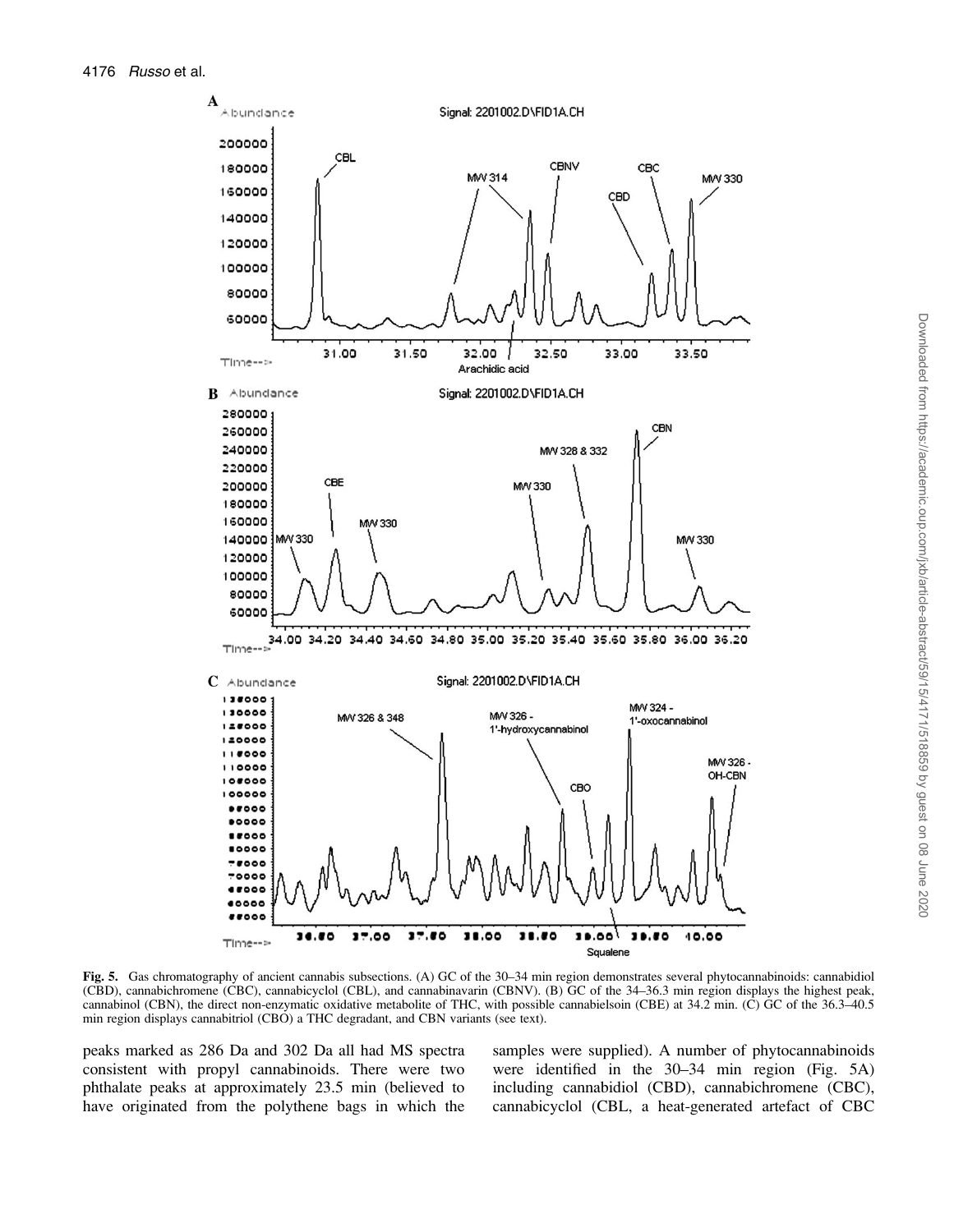

Fig. 5. Gas chromatography of ancient cannabis subsections. (A) GC of the 30–34 min region demonstrates several phytocannabinoids: cannabidiol (CBD), cannabichromene (CBC), cannabicyclol (CBL), and cannabinavarin (CBNV). (B) GC of the 34–36.3 min region displays the highest peak, cannabinol (CBN), the direct non-enzymatic oxidative metabolite of THC, with possible cannabielsoin (CBE) at 34.2 min. (C) GC of the 36.3–40.5 min region displays cannabitriol (CBO) a THC degradant, and CBN variants (see text).

peaks marked as 286 Da and 302 Da all had MS spectra consistent with propyl cannabinoids. There were two phthalate peaks at approximately 23.5 min (believed to have originated from the polythene bags in which the samples were supplied). A number of phytocannabinoids were identified in the 30–34 min region (Fig. 5A) including cannabidiol (CBD), cannabichromene (CBC), cannabicyclol (CBL, a heat-generated artefact of CBC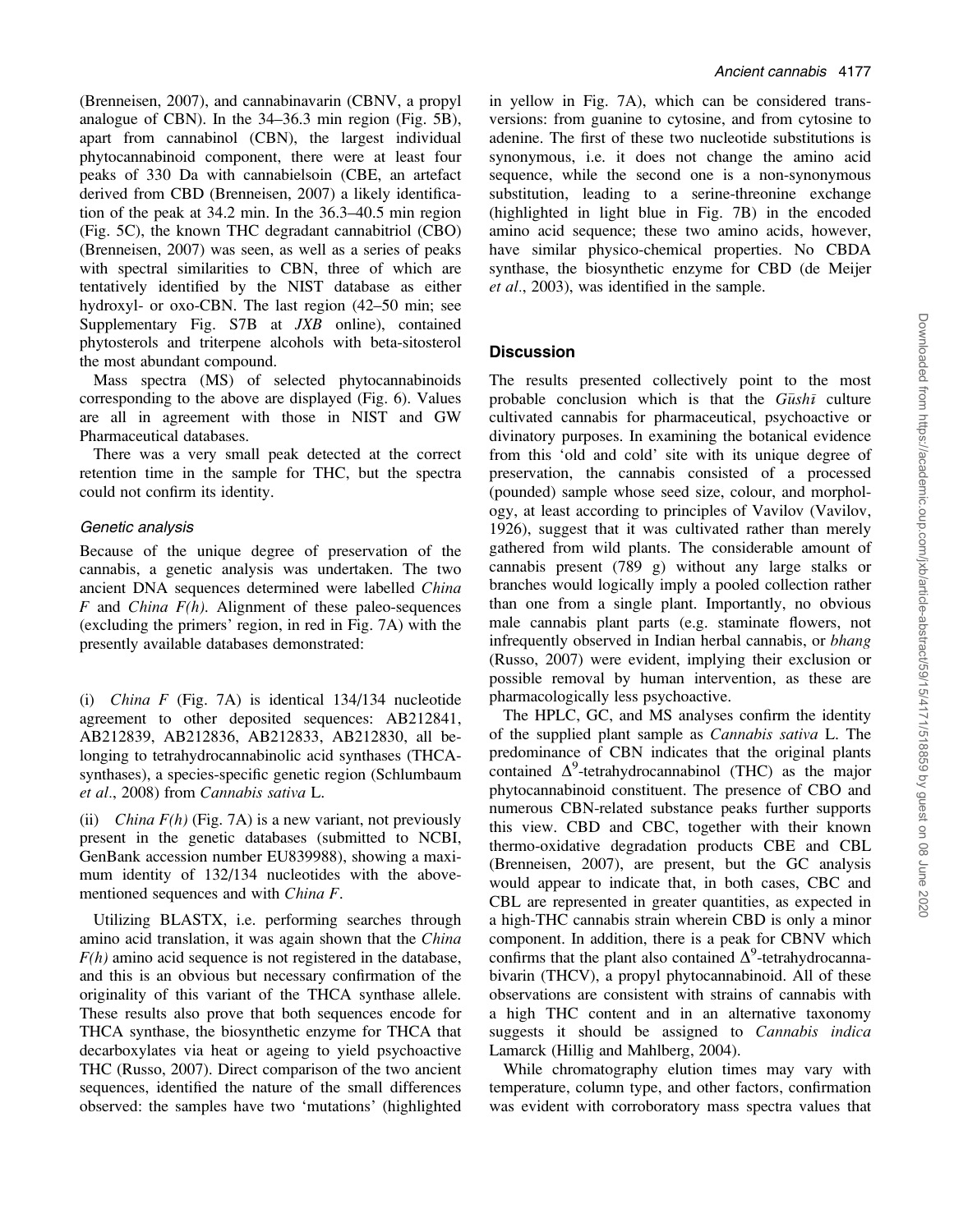(Brenneisen, 2007), and cannabinavarin (CBNV, a propyl analogue of CBN). In the 34–36.3 min region (Fig. 5B), apart from cannabinol (CBN), the largest individual phytocannabinoid component, there were at least four peaks of 330 Da with cannabielsoin (CBE, an artefact derived from CBD (Brenneisen, 2007) a likely identification of the peak at 34.2 min. In the 36.3–40.5 min region (Fig. 5C), the known THC degradant cannabitriol (CBO) (Brenneisen, 2007) was seen, as well as a series of peaks with spectral similarities to CBN, three of which are tentatively identified by the NIST database as either hydroxyl- or oxo-CBN. The last region (42–50 min; see Supplementary Fig. S7B at JXB online), contained phytosterols and triterpene alcohols with beta-sitosterol the most abundant compound.

Mass spectra (MS) of selected phytocannabinoids corresponding to the above are displayed (Fig. 6). Values are all in agreement with those in NIST and GW Pharmaceutical databases.

There was a very small peak detected at the correct retention time in the sample for THC, but the spectra could not confirm its identity.

### Genetic analysis

Because of the unique degree of preservation of the cannabis, a genetic analysis was undertaken. The two ancient DNA sequences determined were labelled China  $F$  and *China F(h)*. Alignment of these paleo-sequences (excluding the primers' region, in red in Fig. 7A) with the presently available databases demonstrated:

(i) China F (Fig. 7A) is identical 134/134 nucleotide agreement to other deposited sequences: AB212841, AB212839, AB212836, AB212833, AB212830, all belonging to tetrahydrocannabinolic acid synthases (THCAsynthases), a species-specific genetic region (Schlumbaum et al., 2008) from Cannabis sativa L.

(ii) China  $F(h)$  (Fig. 7A) is a new variant, not previously present in the genetic databases (submitted to NCBI, GenBank accession number EU839988), showing a maximum identity of 132/134 nucleotides with the abovementioned sequences and with China F.

Utilizing BLASTX, i.e. performing searches through amino acid translation, it was again shown that the *China*  $F(h)$  amino acid sequence is not registered in the database, and this is an obvious but necessary confirmation of the originality of this variant of the THCA synthase allele. These results also prove that both sequences encode for THCA synthase, the biosynthetic enzyme for THCA that decarboxylates via heat or ageing to yield psychoactive THC (Russo, 2007). Direct comparison of the two ancient sequences, identified the nature of the small differences observed: the samples have two 'mutations' (highlighted in yellow in Fig. 7A), which can be considered transversions: from guanine to cytosine, and from cytosine to adenine. The first of these two nucleotide substitutions is synonymous, i.e. it does not change the amino acid sequence, while the second one is a non-synonymous substitution, leading to a serine-threonine exchange (highlighted in light blue in Fig. 7B) in the encoded amino acid sequence; these two amino acids, however, have similar physico-chemical properties. No CBDA synthase, the biosynthetic enzyme for CBD (de Meijer et al., 2003), was identified in the sample.

## **Discussion**

The results presented collectively point to the most probable conclusion which is that the  $G\bar{u}sh\bar{\nu}$  culture cultivated cannabis for pharmaceutical, psychoactive or divinatory purposes. In examining the botanical evidence from this 'old and cold' site with its unique degree of preservation, the cannabis consisted of a processed (pounded) sample whose seed size, colour, and morphology, at least according to principles of Vavilov (Vavilov, 1926), suggest that it was cultivated rather than merely gathered from wild plants. The considerable amount of cannabis present (789 g) without any large stalks or branches would logically imply a pooled collection rather than one from a single plant. Importantly, no obvious male cannabis plant parts (e.g. staminate flowers, not infrequently observed in Indian herbal cannabis, or bhang (Russo, 2007) were evident, implying their exclusion or possible removal by human intervention, as these are pharmacologically less psychoactive.

The HPLC, GC, and MS analyses confirm the identity of the supplied plant sample as Cannabis sativa L. The predominance of CBN indicates that the original plants contained  $\Delta^9$ -tetrahydrocannabinol (THC) as the major phytocannabinoid constituent. The presence of CBO and numerous CBN-related substance peaks further supports this view. CBD and CBC, together with their known thermo-oxidative degradation products CBE and CBL (Brenneisen, 2007), are present, but the GC analysis would appear to indicate that, in both cases, CBC and CBL are represented in greater quantities, as expected in a high-THC cannabis strain wherein CBD is only a minor component. In addition, there is a peak for CBNV which confirms that the plant also contained  $\Delta^9$ -tetrahydrocannabivarin (THCV), a propyl phytocannabinoid. All of these observations are consistent with strains of cannabis with a high THC content and in an alternative taxonomy suggests it should be assigned to *Cannabis indica* Lamarck (Hillig and Mahlberg, 2004).

While chromatography elution times may vary with temperature, column type, and other factors, confirmation was evident with corroboratory mass spectra values that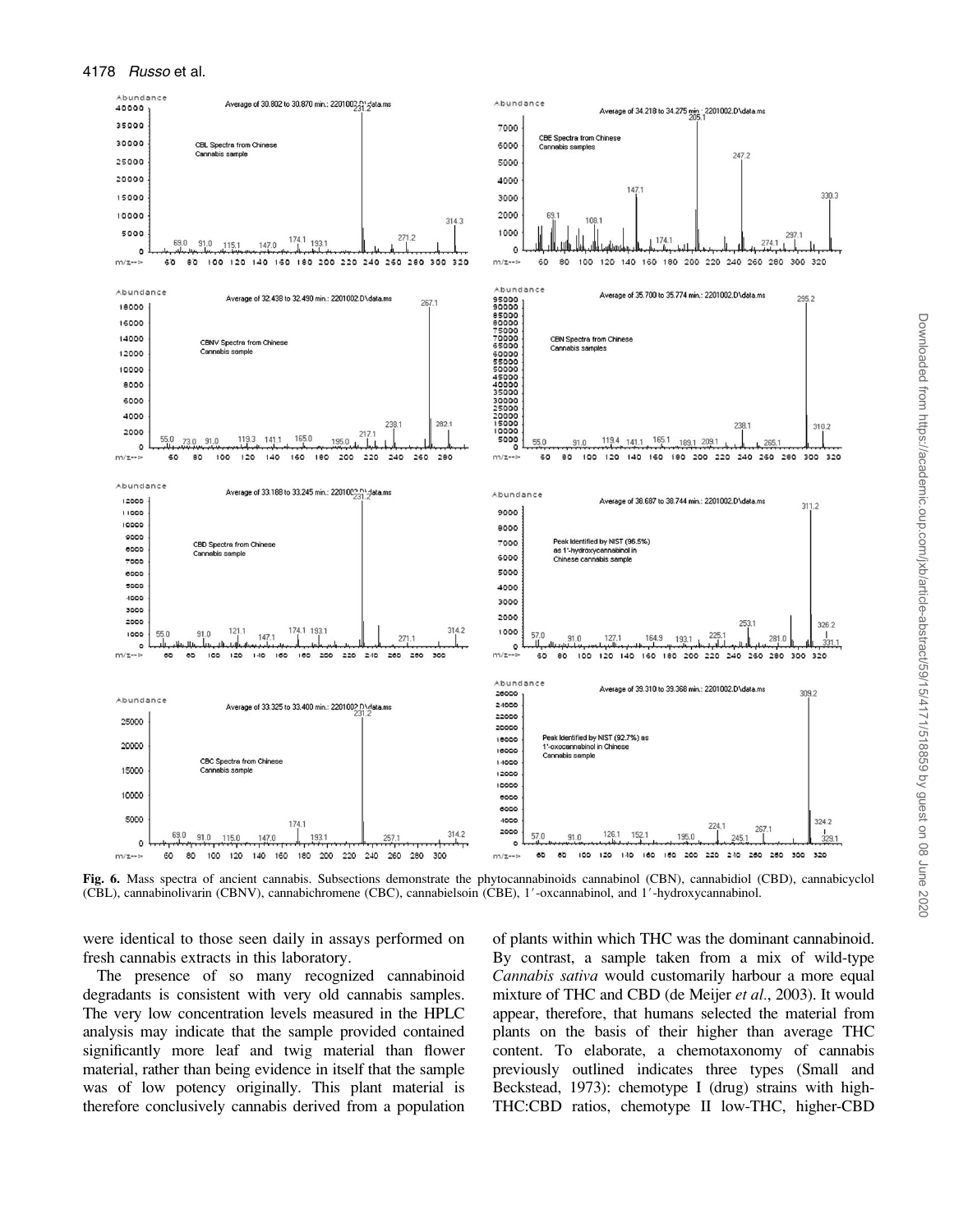

Fig. 6. Mass spectra of ancient cannabis. Subsections demonstrate the phytocannabinoids cannabinol (CBN), cannabidiol (CBD), cannabicyclol (CBL), cannabinolivarin (CBNV), cannabichromene (CBC), cannabielsoin (CBE), 1'-oxcannabinol, and 1'-hydroxycannabinol.

were identical to those seen daily in assays performed on fresh cannabis extracts in this laboratory.

The presence of so many recognized cannabinoid degradants is consistent with very old cannabis samples. The very low concentration levels measured in the HPLC analysis may indicate that the sample provided contained significantly more leaf and twig material than flower material, rather than being evidence in itself that the sample was of low potency originally. This plant material is therefore conclusively cannabis derived from a population

of plants within which THC was the dominant cannabinoid. By contrast, a sample taken from a mix of wild-type Cannabis sativa would customarily harbour a more equal mixture of THC and CBD (de Meijer et al., 2003). It would appear, therefore, that humans selected the material from plants on the basis of their higher than average THC content. To elaborate, a chemotaxonomy of cannabis previously outlined indicates three types (Small and Beckstead, 1973): chemotype I (drug) strains with high-THC:CBD ratios, chemotype II low-THC, higher-CBD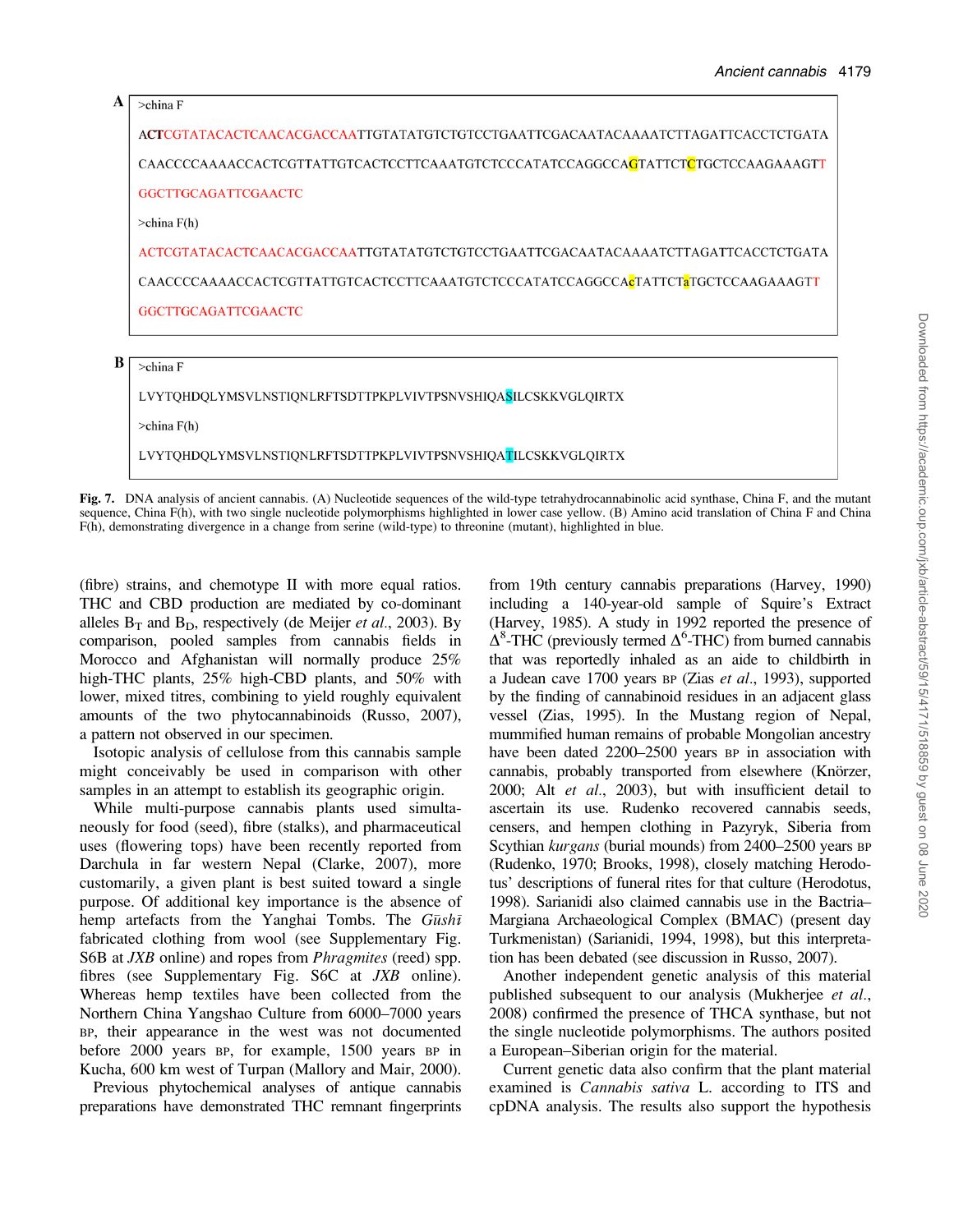A  $>$ china F

> CAACCCCAAAACCACTCGTTATTGTCACTCCTTCAAATGTCTCCCATATCCAGGCCA<mark>G</mark>TATTCT<mark>C</mark>TGCTCCAAGAAAGTT GGCTTGCAGATTCGAACTC  $\phi$ china F(h) CAACCCCAAAACCACTCGTTATTGTCACTCCTTCAAATGTCTCCCATATCCAGGCCA<mark>c</mark>TATTCT<mark>a</mark>TGCTCCAAGAAAGTT

B  $>$ china F

GGCTTGCAGATTCGAACTC

LVYTQHDQLYMSVLNSTIQNLRFTSDTTPKPLVIVTPSNVSHIQA<mark>S</mark>ILCSKKVGLQIRTX

 $\ge$ china  $F(h)$ 

LVYTQHDQLYMSVLNSTIQNLRFTSDTTPKPLVIVTPSNVSHIQATILCSKKVGLQIRTX

Fig. 7. DNA analysis of ancient cannabis. (A) Nucleotide sequences of the wild-type tetrahydrocannabinolic acid synthase, China F, and the mutant sequence, China F(h), with two single nucleotide polymorphisms highlighted in lower case yellow. (B) Amino acid translation of China F and China F(h), demonstrating divergence in a change from serine (wild-type) to threonine (mutant), highlighted in blue.

(fibre) strains, and chemotype II with more equal ratios. THC and CBD production are mediated by co-dominant alleles  $B_T$  and  $B_D$ , respectively (de Meijer *et al.*, 2003). By comparison, pooled samples from cannabis fields in Morocco and Afghanistan will normally produce 25% high-THC plants, 25% high-CBD plants, and 50% with lower, mixed titres, combining to yield roughly equivalent amounts of the two phytocannabinoids (Russo, 2007), a pattern not observed in our specimen.

Isotopic analysis of cellulose from this cannabis sample might conceivably be used in comparison with other samples in an attempt to establish its geographic origin.

While multi-purpose cannabis plants used simultaneously for food (seed), fibre (stalks), and pharmaceutical uses (flowering tops) have been recently reported from Darchula in far western Nepal (Clarke, 2007), more customarily, a given plant is best suited toward a single purpose. Of additional key importance is the absence of hemp artefacts from the Yanghai Tombs. The  $Gish\bar{i}$ fabricated clothing from wool (see Supplementary Fig. S6B at *JXB* online) and ropes from *Phragmites* (reed) spp. fibres (see Supplementary Fig. S6C at JXB online). Whereas hemp textiles have been collected from the Northern China Yangshao Culture from 6000–7000 years BP, their appearance in the west was not documented before 2000 years BP, for example, 1500 years BP in Kucha, 600 km west of Turpan (Mallory and Mair, 2000).

Previous phytochemical analyses of antique cannabis preparations have demonstrated THC remnant fingerprints from 19th century cannabis preparations (Harvey, 1990) including a 140-year-old sample of Squire's Extract (Harvey, 1985). A study in 1992 reported the presence of  $\Delta^8$ -THC (previously termed  $\Delta^6$ -THC) from burned cannabis that was reportedly inhaled as an aide to childbirth in a Judean cave 1700 years BP (Zias et al., 1993), supported by the finding of cannabinoid residues in an adjacent glass vessel (Zias, 1995). In the Mustang region of Nepal, mummified human remains of probable Mongolian ancestry have been dated 2200–2500 years BP in association with cannabis, probably transported from elsewhere (Knörzer, 2000; Alt et al., 2003), but with insufficient detail to ascertain its use. Rudenko recovered cannabis seeds, censers, and hempen clothing in Pazyryk, Siberia from Scythian *kurgans* (burial mounds) from 2400–2500 years BP (Rudenko, 1970; Brooks, 1998), closely matching Herodotus' descriptions of funeral rites for that culture (Herodotus, 1998). Sarianidi also claimed cannabis use in the Bactria– Margiana Archaeological Complex (BMAC) (present day Turkmenistan) (Sarianidi, 1994, 1998), but this interpretation has been debated (see discussion in Russo, 2007).

Another independent genetic analysis of this material published subsequent to our analysis (Mukherjee et al., 2008) confirmed the presence of THCA synthase, but not the single nucleotide polymorphisms. The authors posited a European–Siberian origin for the material.

Current genetic data also confirm that the plant material examined is *Cannabis sativa* L. according to ITS and cpDNA analysis. The results also support the hypothesis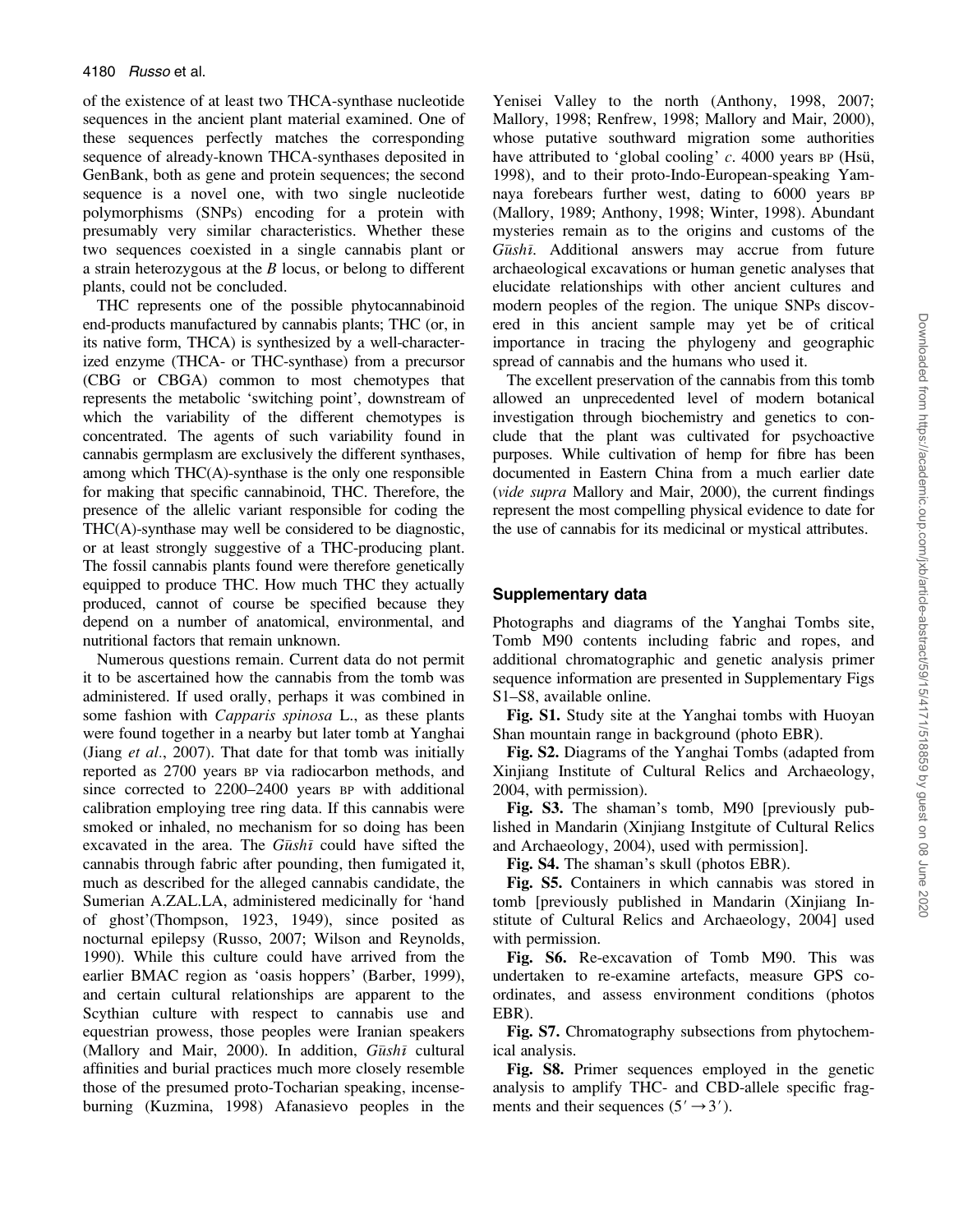of the existence of at least two THCA-synthase nucleotide sequences in the ancient plant material examined. One of these sequences perfectly matches the corresponding sequence of already-known THCA-synthases deposited in GenBank, both as gene and protein sequences; the second sequence is a novel one, with two single nucleotide polymorphisms (SNPs) encoding for a protein with presumably very similar characteristics. Whether these two sequences coexisted in a single cannabis plant or a strain heterozygous at the  $B$  locus, or belong to different plants, could not be concluded.

THC represents one of the possible phytocannabinoid end-products manufactured by cannabis plants; THC (or, in its native form, THCA) is synthesized by a well-characterized enzyme (THCA- or THC-synthase) from a precursor (CBG or CBGA) common to most chemotypes that represents the metabolic 'switching point', downstream of which the variability of the different chemotypes is concentrated. The agents of such variability found in cannabis germplasm are exclusively the different synthases, among which THC(A)-synthase is the only one responsible for making that specific cannabinoid, THC. Therefore, the presence of the allelic variant responsible for coding the THC(A)-synthase may well be considered to be diagnostic, or at least strongly suggestive of a THC-producing plant. The fossil cannabis plants found were therefore genetically equipped to produce THC. How much THC they actually produced, cannot of course be specified because they depend on a number of anatomical, environmental, and nutritional factors that remain unknown.

Numerous questions remain. Current data do not permit it to be ascertained how the cannabis from the tomb was administered. If used orally, perhaps it was combined in some fashion with *Capparis spinosa* L., as these plants were found together in a nearby but later tomb at Yanghai (Jiang et al., 2007). That date for that tomb was initially reported as 2700 years BP via radiocarbon methods, and since corrected to 2200-2400 years BP with additional calibration employing tree ring data. If this cannabis were smoked or inhaled, no mechanism for so doing has been excavated in the area. The  $Gi<sub>sh<sub>i</sub></sub>$  could have sifted the cannabis through fabric after pounding, then fumigated it, much as described for the alleged cannabis candidate, the Sumerian A.ZAL.LA, administered medicinally for 'hand of ghost'(Thompson, 1923, 1949), since posited as nocturnal epilepsy (Russo, 2007; Wilson and Reynolds, 1990). While this culture could have arrived from the earlier BMAC region as 'oasis hoppers' (Barber, 1999), and certain cultural relationships are apparent to the Scythian culture with respect to cannabis use and equestrian prowess, those peoples were Iranian speakers (Mallory and Mair, 2000). In addition,  $G\bar{u}sh\bar{\iota}$  cultural affinities and burial practices much more closely resemble those of the presumed proto-Tocharian speaking, incenseburning (Kuzmina, 1998) Afanasievo peoples in the Yenisei Valley to the north (Anthony, 1998, 2007; Mallory, 1998; Renfrew, 1998; Mallory and Mair, 2000), whose putative southward migration some authorities have attributed to 'global cooling'  $c$ . 4000 years BP (Hsü, 1998), and to their proto-Indo-European-speaking Yamnaya forebears further west, dating to 6000 years BP (Mallory, 1989; Anthony, 1998; Winter, 1998). Abundant mysteries remain as to the origins and customs of the  $G\bar{u}sh\bar{\iota}$ . Additional answers may accrue from future archaeological excavations or human genetic analyses that elucidate relationships with other ancient cultures and modern peoples of the region. The unique SNPs discovered in this ancient sample may yet be of critical importance in tracing the phylogeny and geographic spread of cannabis and the humans who used it.

The excellent preservation of the cannabis from this tomb allowed an unprecedented level of modern botanical investigation through biochemistry and genetics to conclude that the plant was cultivated for psychoactive purposes. While cultivation of hemp for fibre has been documented in Eastern China from a much earlier date (vide supra Mallory and Mair, 2000), the current findings represent the most compelling physical evidence to date for the use of cannabis for its medicinal or mystical attributes.

## Supplementary data

Photographs and diagrams of the Yanghai Tombs site, Tomb M90 contents including fabric and ropes, and additional chromatographic and genetic analysis primer sequence information are presented in Supplementary Figs S1–S8, available online.

Fig. S1. Study site at the Yanghai tombs with Huoyan Shan mountain range in background (photo EBR).

Fig. S2. Diagrams of the Yanghai Tombs (adapted from Xinjiang Institute of Cultural Relics and Archaeology, 2004, with permission).

Fig. S3. The shaman's tomb, M90 [previously published in Mandarin (Xinjiang Instgitute of Cultural Relics and Archaeology, 2004), used with permission].

Fig. S4. The shaman's skull (photos EBR).

Fig. S5. Containers in which cannabis was stored in tomb [previously published in Mandarin (Xinjiang Institute of Cultural Relics and Archaeology, 2004] used with permission.

Fig. S6. Re-excavation of Tomb M90. This was undertaken to re-examine artefacts, measure GPS coordinates, and assess environment conditions (photos EBR).

Fig. S7. Chromatography subsections from phytochemical analysis.

Fig. S8. Primer sequences employed in the genetic analysis to amplify THC- and CBD-allele specific fragments and their sequences  $(5' \rightarrow 3')$ .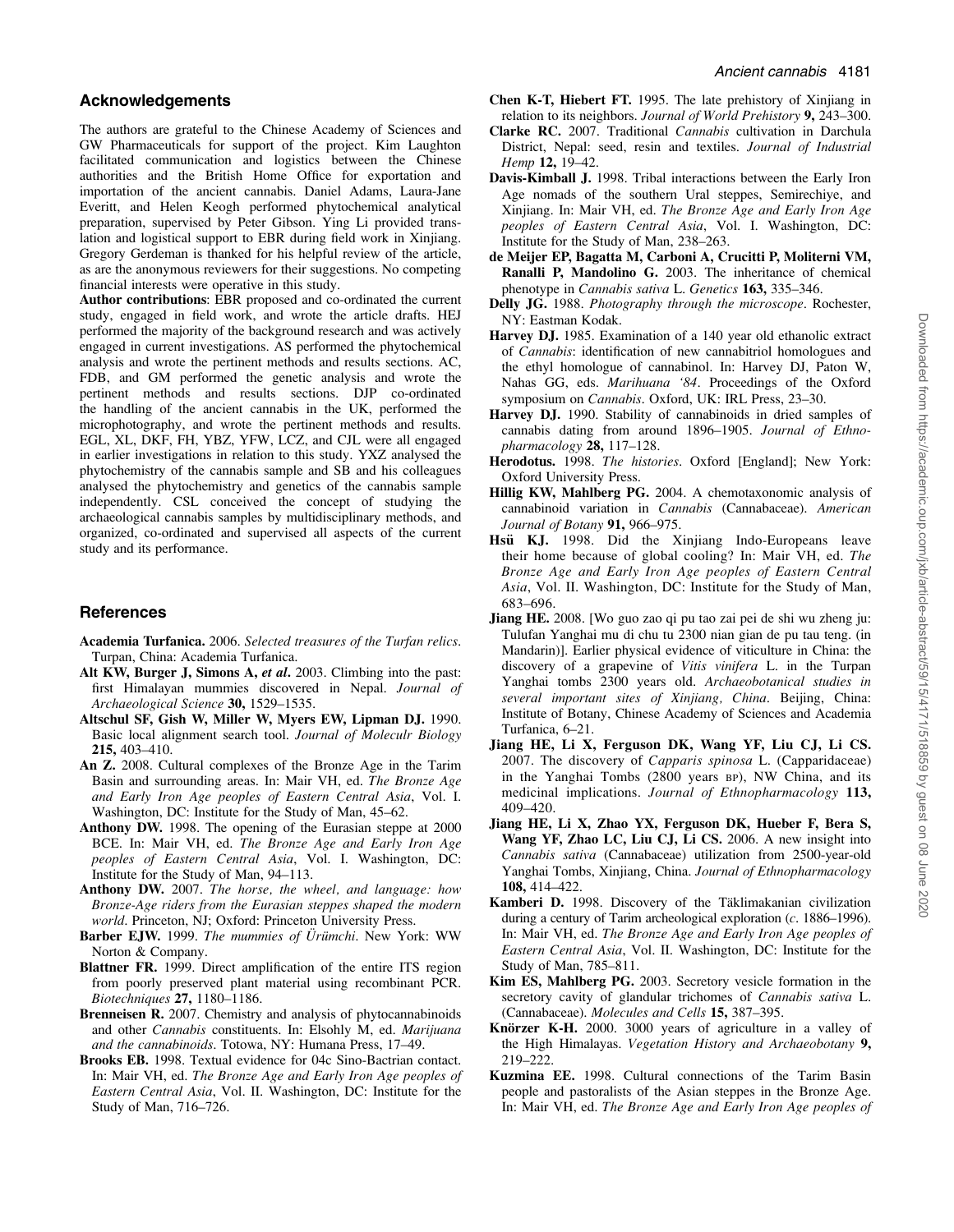The authors are grateful to the Chinese Academy of Sciences and GW Pharmaceuticals for support of the project. Kim Laughton facilitated communication and logistics between the Chinese authorities and the British Home Office for exportation and importation of the ancient cannabis. Daniel Adams, Laura-Jane Everitt, and Helen Keogh performed phytochemical analytical preparation, supervised by Peter Gibson. Ying Li provided translation and logistical support to EBR during field work in Xinjiang. Gregory Gerdeman is thanked for his helpful review of the article, as are the anonymous reviewers for their suggestions. No competing financial interests were operative in this study.

Author contributions: EBR proposed and co-ordinated the current study, engaged in field work, and wrote the article drafts. HEJ performed the majority of the background research and was actively engaged in current investigations. AS performed the phytochemical analysis and wrote the pertinent methods and results sections. AC, FDB, and GM performed the genetic analysis and wrote the pertinent methods and results sections. DJP co-ordinated the handling of the ancient cannabis in the UK, performed the microphotography, and wrote the pertinent methods and results. EGL, XL, DKF, FH, YBZ, YFW, LCZ, and CJL were all engaged in earlier investigations in relation to this study. YXZ analysed the phytochemistry of the cannabis sample and SB and his colleagues analysed the phytochemistry and genetics of the cannabis sample independently. CSL conceived the concept of studying the archaeological cannabis samples by multidisciplinary methods, and organized, co-ordinated and supervised all aspects of the current study and its performance.

## References

- Academia Turfanica. 2006. Selected treasures of the Turfan relics. Turpan, China: Academia Turfanica.
- Alt KW, Burger J, Simons A, et al. 2003. Climbing into the past: first Himalayan mummies discovered in Nepal. Journal of Archaeological Science 30, 1529–1535.
- Altschul SF, Gish W, Miller W, Myers EW, Lipman DJ. 1990. Basic local alignment search tool. Journal of Moleculr Biology 215, 403–410.
- An Z. 2008. Cultural complexes of the Bronze Age in the Tarim Basin and surrounding areas. In: Mair VH, ed. The Bronze Age and Early Iron Age peoples of Eastern Central Asia, Vol. I. Washington, DC: Institute for the Study of Man, 45–62.
- Anthony DW. 1998. The opening of the Eurasian steppe at 2000 BCE. In: Mair VH, ed. The Bronze Age and Early Iron Age peoples of Eastern Central Asia, Vol. I. Washington, DC: Institute for the Study of Man, 94–113.
- Anthony DW. 2007. The horse, the wheel, and language: how Bronze-Age riders from the Eurasian steppes shaped the modern world. Princeton, NJ; Oxford: Princeton University Press.
- Barber EJW. 1999. The mummies of Ürümchi. New York: WW Norton & Company.
- Blattner FR. 1999. Direct amplification of the entire ITS region from poorly preserved plant material using recombinant PCR. Biotechniques 27, 1180–1186.
- Brenneisen R. 2007. Chemistry and analysis of phytocannabinoids and other Cannabis constituents. In: Elsohly M, ed. Marijuana and the cannabinoids. Totowa, NY: Humana Press, 17–49.
- Brooks EB. 1998. Textual evidence for 04c Sino-Bactrian contact. In: Mair VH, ed. The Bronze Age and Early Iron Age peoples of Eastern Central Asia, Vol. II. Washington, DC: Institute for the Study of Man, 716–726.
- Chen K-T, Hiebert FT. 1995. The late prehistory of Xinjiang in relation to its neighbors. Journal of World Prehistory 9, 243–300.
- Clarke RC. 2007. Traditional Cannabis cultivation in Darchula District, Nepal: seed, resin and textiles. Journal of Industrial Hemp 12, 19-42.
- Davis-Kimball J. 1998. Tribal interactions between the Early Iron Age nomads of the southern Ural steppes, Semirechiye, and Xinjiang. In: Mair VH, ed. The Bronze Age and Early Iron Age peoples of Eastern Central Asia, Vol. I. Washington, DC: Institute for the Study of Man, 238–263.
- de Meijer EP, Bagatta M, Carboni A, Crucitti P, Moliterni VM, Ranalli P, Mandolino G. 2003. The inheritance of chemical phenotype in *Cannabis sativa* L. Genetics 163, 335–346.
- Delly JG. 1988. Photography through the microscope. Rochester, NY: Eastman Kodak.
- Harvey DJ. 1985. Examination of a 140 year old ethanolic extract of Cannabis: identification of new cannabitriol homologues and the ethyl homologue of cannabinol. In: Harvey DJ, Paton W, Nahas GG, eds. Marihuana '84. Proceedings of the Oxford symposium on *Cannabis*. Oxford, UK: IRL Press, 23-30.
- Harvey DJ. 1990. Stability of cannabinoids in dried samples of cannabis dating from around 1896–1905. Journal of Ethno $pharmacology$  28, 117-128.
- Herodotus. 1998. The histories. Oxford [England]; New York: Oxford University Press.
- Hillig KW, Mahlberg PG. 2004. A chemotaxonomic analysis of cannabinoid variation in Cannabis (Cannabaceae). American Journal of Botany 91, 966-975.
- Hsü KJ. 1998. Did the Xinjiang Indo-Europeans leave their home because of global cooling? In: Mair VH, ed. The Bronze Age and Early Iron Age peoples of Eastern Central Asia, Vol. II. Washington, DC: Institute for the Study of Man, 683–696.
- Jiang HE. 2008. [Wo guo zao qi pu tao zai pei de shi wu zheng ju: Tulufan Yanghai mu di chu tu 2300 nian gian de pu tau teng. (in Mandarin)]. Earlier physical evidence of viticulture in China: the discovery of a grapevine of Vitis vinifera L. in the Turpan Yanghai tombs 2300 years old. Archaeobotanical studies in several important sites of Xinjiang, China. Beijing, China: Institute of Botany, Chinese Academy of Sciences and Academia Turfanica, 6–21.
- Jiang HE, Li X, Ferguson DK, Wang YF, Liu CJ, Li CS. 2007. The discovery of Capparis spinosa L. (Capparidaceae) in the Yanghai Tombs (2800 years BP), NW China, and its medicinal implications. Journal of Ethnopharmacology 113, 409–420.
- Jiang HE, Li X, Zhao YX, Ferguson DK, Hueber F, Bera S, Wang YF, Zhao LC, Liu CJ, Li CS. 2006. A new insight into Cannabis sativa (Cannabaceae) utilization from 2500-year-old Yanghai Tombs, Xinjiang, China. Journal of Ethnopharmacology 108, 414–422.
- Kamberi D. 1998. Discovery of the Täklimakanian civilization during a century of Tarim archeological exploration (c. 1886–1996). In: Mair VH, ed. The Bronze Age and Early Iron Age peoples of Eastern Central Asia, Vol. II. Washington, DC: Institute for the Study of Man, 785–811.
- Kim ES, Mahlberg PG. 2003. Secretory vesicle formation in the secretory cavity of glandular trichomes of Cannabis sativa L. (Cannabaceae). Molecules and Cells 15, 387–395.
- Knörzer K-H. 2000. 3000 years of agriculture in a valley of the High Himalayas. Vegetation History and Archaeobotany 9, 219–222.
- Kuzmina EE. 1998. Cultural connections of the Tarim Basin people and pastoralists of the Asian steppes in the Bronze Age. In: Mair VH, ed. The Bronze Age and Early Iron Age peoples of